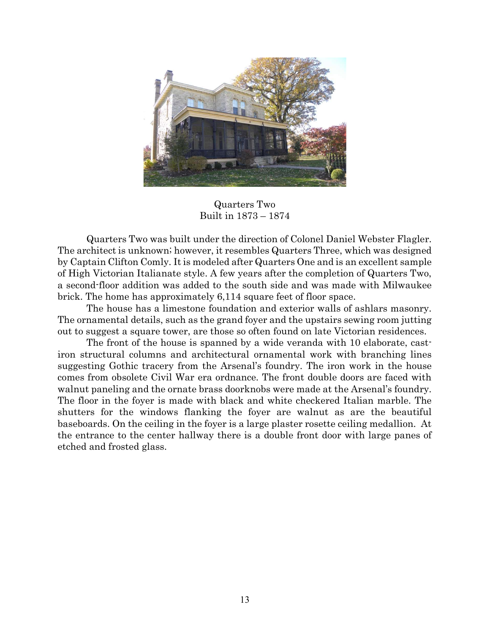

Quarters Two Built in 1873 – 1874

 Quarters Two was built under the direction of Colonel Daniel Webster Flagler. The architect is unknown; however, it resembles Quarters Three, which was designed by Captain Clifton Comly. It is modeled after Quarters One and is an excellent sample of High Victorian Italianate style. A few years after the completion of Quarters Two, a second-floor addition was added to the south side and was made with Milwaukee brick. The home has approximately 6,114 square feet of floor space.

 The house has a limestone foundation and exterior walls of ashlars masonry. The ornamental details, such as the grand foyer and the upstairs sewing room jutting out to suggest a square tower, are those so often found on late Victorian residences.

 The front of the house is spanned by a wide veranda with 10 elaborate, castiron structural columns and architectural ornamental work with branching lines suggesting Gothic tracery from the Arsenal's foundry. The iron work in the house comes from obsolete Civil War era ordnance. The front double doors are faced with walnut paneling and the ornate brass doorknobs were made at the Arsenal's foundry. The floor in the foyer is made with black and white checkered Italian marble. The shutters for the windows flanking the foyer are walnut as are the beautiful baseboards. On the ceiling in the foyer is a large plaster rosette ceiling medallion. At the entrance to the center hallway there is a double front door with large panes of etched and frosted glass.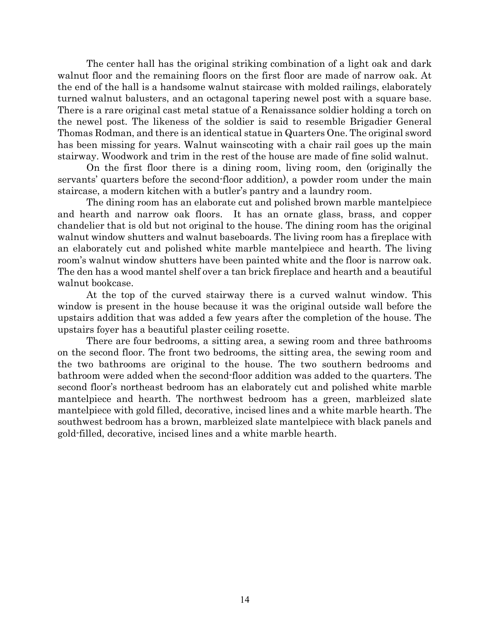The center hall has the original striking combination of a light oak and dark walnut floor and the remaining floors on the first floor are made of narrow oak. At the end of the hall is a handsome walnut staircase with molded railings, elaborately turned walnut balusters, and an octagonal tapering newel post with a square base. There is a rare original cast metal statue of a Renaissance soldier holding a torch on the newel post. The likeness of the soldier is said to resemble Brigadier General Thomas Rodman, and there is an identical statue in Quarters One. The original sword has been missing for years. Walnut wainscoting with a chair rail goes up the main stairway. Woodwork and trim in the rest of the house are made of fine solid walnut.

 On the first floor there is a dining room, living room, den (originally the servants' quarters before the second-floor addition), a powder room under the main staircase, a modern kitchen with a butler's pantry and a laundry room.

The dining room has an elaborate cut and polished brown marble mantelpiece and hearth and narrow oak floors. It has an ornate glass, brass, and copper chandelier that is old but not original to the house. The dining room has the original walnut window shutters and walnut baseboards. The living room has a fireplace with an elaborately cut and polished white marble mantelpiece and hearth. The living room's walnut window shutters have been painted white and the floor is narrow oak. The den has a wood mantel shelf over a tan brick fireplace and hearth and a beautiful walnut bookcase.

At the top of the curved stairway there is a curved walnut window. This window is present in the house because it was the original outside wall before the upstairs addition that was added a few years after the completion of the house. The upstairs foyer has a beautiful plaster ceiling rosette.

 There are four bedrooms, a sitting area, a sewing room and three bathrooms on the second floor. The front two bedrooms, the sitting area, the sewing room and the two bathrooms are original to the house. The two southern bedrooms and bathroom were added when the second-floor addition was added to the quarters. The second floor's northeast bedroom has an elaborately cut and polished white marble mantelpiece and hearth. The northwest bedroom has a green, marbleized slate mantelpiece with gold filled, decorative, incised lines and a white marble hearth. The southwest bedroom has a brown, marbleized slate mantelpiece with black panels and gold-filled, decorative, incised lines and a white marble hearth.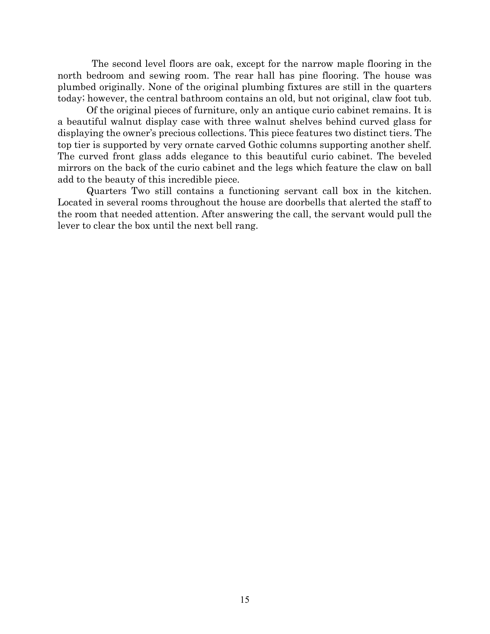The second level floors are oak, except for the narrow maple flooring in the north bedroom and sewing room. The rear hall has pine flooring. The house was plumbed originally. None of the original plumbing fixtures are still in the quarters today; however, the central bathroom contains an old, but not original, claw foot tub.

Of the original pieces of furniture, only an antique curio cabinet remains. It is a beautiful walnut display case with three walnut shelves behind curved glass for displaying the owner's precious collections. This piece features two distinct tiers. The top tier is supported by very ornate carved Gothic columns supporting another shelf. The curved front glass adds elegance to this beautiful curio cabinet. The beveled mirrors on the back of the curio cabinet and the legs which feature the claw on ball add to the beauty of this incredible piece.

 Quarters Two still contains a functioning servant call box in the kitchen. Located in several rooms throughout the house are doorbells that alerted the staff to the room that needed attention. After answering the call, the servant would pull the lever to clear the box until the next bell rang.